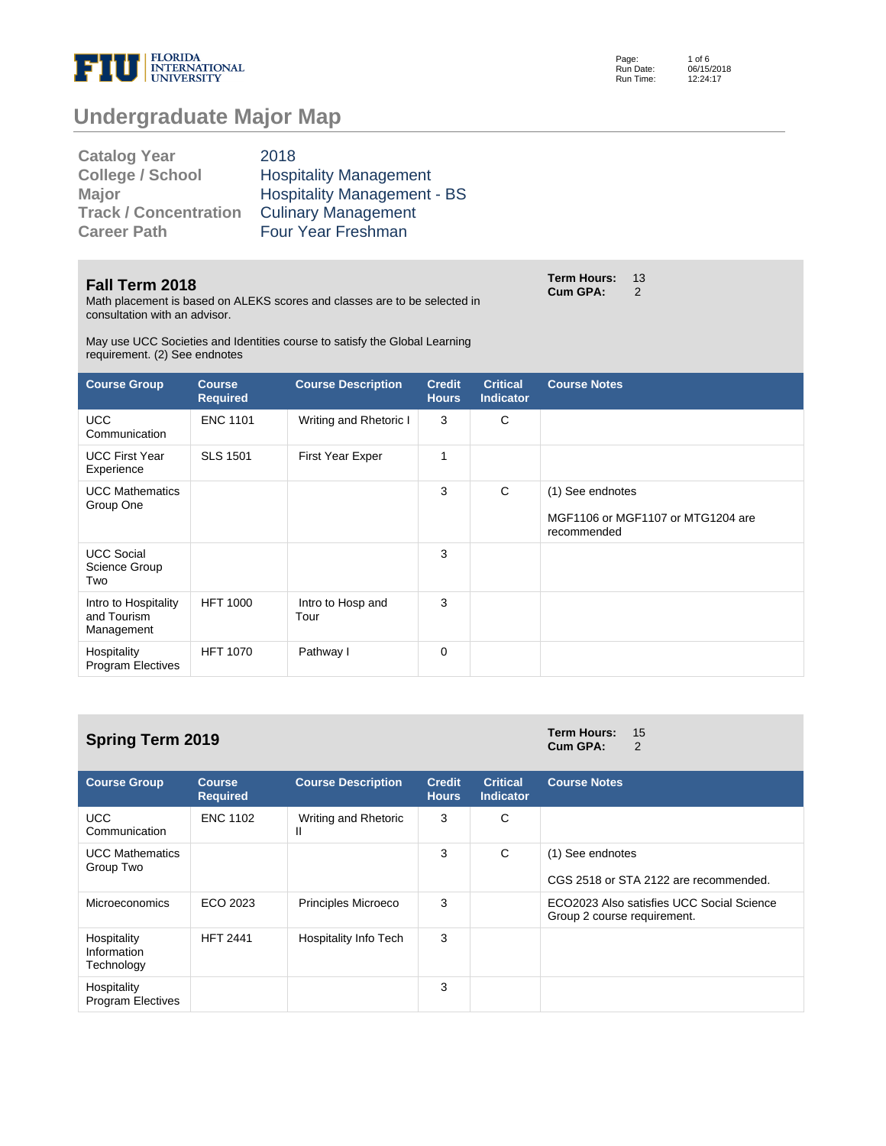

Page: Run Date: Run Time: 1 of 6 06/15/2018 12:24:17

# **Undergraduate Major Map**

| <b>Catalog Year</b>          | 2018                               |
|------------------------------|------------------------------------|
| <b>College / School</b>      | <b>Hospitality Management</b>      |
| <b>Major</b>                 | <b>Hospitality Management - BS</b> |
| <b>Track / Concentration</b> | <b>Culinary Management</b>         |
| <b>Career Path</b>           | Four Year Freshman                 |

#### **Fall Term 2018**

Math placement is based on ALEKS scores and classes are to be selected in consultation with an advisor.

May use UCC Societies and Identities course to satisfy the Global Learning requirement. (2) See endnotes

| <b>Course Group</b>                               | <b>Course</b><br><b>Required</b> | <b>Course Description</b> | <b>Credit</b><br><b>Hours</b> | <b>Critical</b><br><b>Indicator</b> | <b>Course Notes</b>                                                  |
|---------------------------------------------------|----------------------------------|---------------------------|-------------------------------|-------------------------------------|----------------------------------------------------------------------|
| <b>UCC</b><br>Communication                       | <b>ENC 1101</b>                  | Writing and Rhetoric I    | 3                             | C                                   |                                                                      |
| <b>UCC First Year</b><br>Experience               | <b>SLS 1501</b>                  | First Year Exper          | 1                             |                                     |                                                                      |
| <b>UCC Mathematics</b><br>Group One               |                                  |                           | 3                             | C                                   | (1) See endnotes<br>MGF1106 or MGF1107 or MTG1204 are<br>recommended |
| <b>UCC Social</b><br>Science Group<br>Two         |                                  |                           | 3                             |                                     |                                                                      |
| Intro to Hospitality<br>and Tourism<br>Management | <b>HFT 1000</b>                  | Intro to Hosp and<br>Tour | 3                             |                                     |                                                                      |
| Hospitality<br><b>Program Electives</b>           | <b>HFT 1070</b>                  | Pathway I                 | 0                             |                                     |                                                                      |

# **Spring Term 2019 Term Hours: 15**<br> **Spring Term 2019 Term Hours: 15**

| <b>Course Group</b>                      | <b>Course</b><br><b>Required</b> | <b>Course Description</b>  | <b>Credit</b><br><b>Hours</b> | <b>Critical</b><br><b>Indicator</b> | <b>Course Notes</b>                                                      |
|------------------------------------------|----------------------------------|----------------------------|-------------------------------|-------------------------------------|--------------------------------------------------------------------------|
| <b>UCC</b><br>Communication              | <b>ENC 1102</b>                  | Writing and Rhetoric<br>Ш  | 3                             | C                                   |                                                                          |
| <b>UCC Mathematics</b><br>Group Two      |                                  |                            | 3                             | C                                   | (1) See endnotes<br>CGS 2518 or STA 2122 are recommended.                |
| <b>Microeconomics</b>                    | ECO 2023                         | <b>Principles Microeco</b> | 3                             |                                     | ECO2023 Also satisfies UCC Social Science<br>Group 2 course requirement. |
| Hospitality<br>Information<br>Technology | <b>HFT 2441</b>                  | Hospitality Info Tech      | 3                             |                                     |                                                                          |
| Hospitality<br><b>Program Electives</b>  |                                  |                            | 3                             |                                     |                                                                          |

**Cum GPA:** 

**Term Hours: 13<br>Cum GPA: 2** Cum GPA: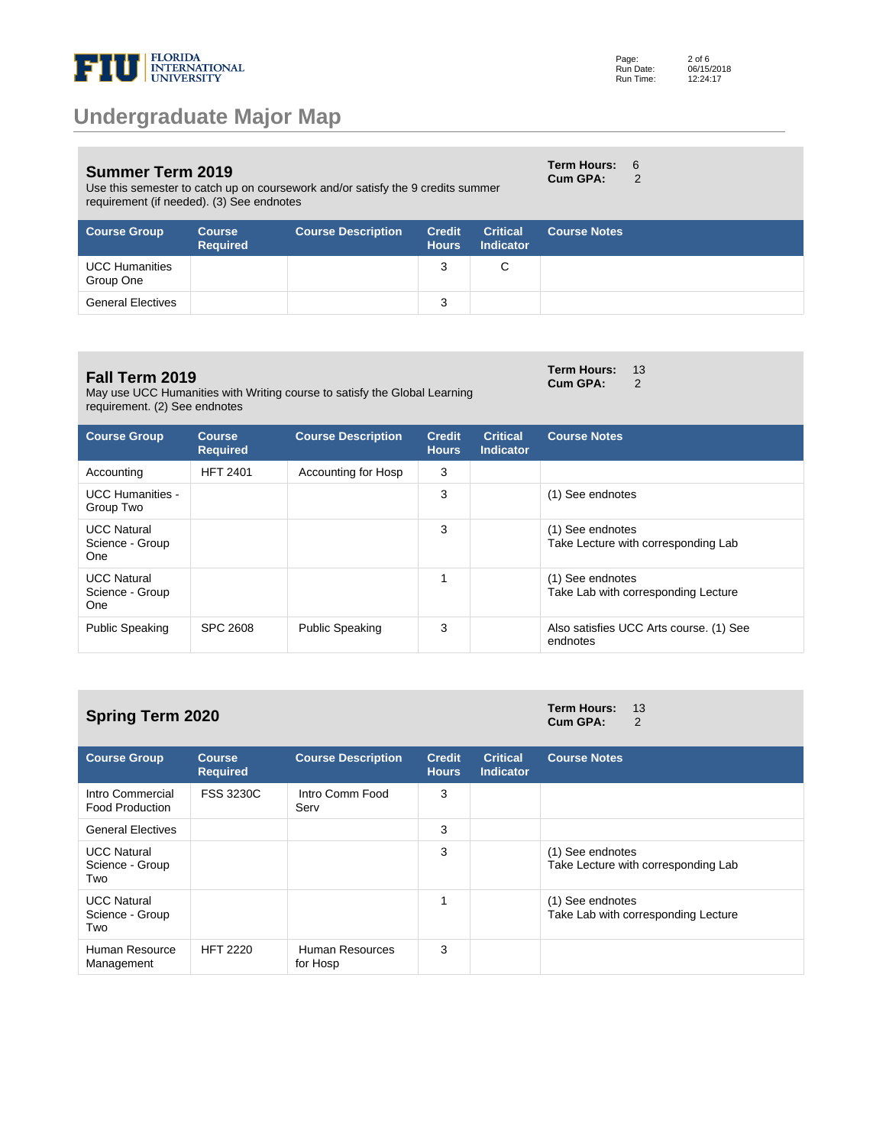

Use this semester to catch up on coursework and/or satisfy the 9 credits summer requirement (if needed). (3) See endnotes

| Page:     | $2$ of 6   |
|-----------|------------|
| Run Date: | 06/15/2018 |
| Run Time: | 12:24:17   |

**Term Hours:** 6 **Cum GPA:** 2

| <b>Course Group</b>                | <b>Course</b><br><b>Required</b> | <b>Course Description</b> | <b>Credit</b><br><b>Hours</b> | <b>Critical</b><br><b>Indicator</b> | <b>Course Notes</b> |
|------------------------------------|----------------------------------|---------------------------|-------------------------------|-------------------------------------|---------------------|
| <b>UCC Humanities</b><br>Group One |                                  |                           | 3                             | С                                   |                     |
| <b>General Electives</b>           |                                  |                           | 3                             |                                     |                     |

#### **Fall Term 2019**

May use UCC Humanities with Writing course to satisfy the Global Learning requirement. (2) See endnotes

| Cum GPA: | $\overline{2}$ |
|----------|----------------|
|          |                |
|          |                |

**Term Hours:** 13

| <b>Course Group</b>                                 | <b>Course</b><br><b>Required</b> | <b>Course Description</b> | <b>Credit</b><br><b>Hours</b> | <b>Critical</b><br><b>Indicator</b> | <b>Course Notes</b>                                     |
|-----------------------------------------------------|----------------------------------|---------------------------|-------------------------------|-------------------------------------|---------------------------------------------------------|
| Accounting                                          | <b>HFT 2401</b>                  | Accounting for Hosp       | 3                             |                                     |                                                         |
| <b>UCC Humanities -</b><br>Group Two                |                                  |                           | 3                             |                                     | (1) See endnotes                                        |
| <b>UCC Natural</b><br>Science - Group<br><b>One</b> |                                  |                           | 3                             |                                     | (1) See endnotes<br>Take Lecture with corresponding Lab |
| <b>UCC Natural</b><br>Science - Group<br><b>One</b> |                                  |                           | 4                             |                                     | (1) See endnotes<br>Take Lab with corresponding Lecture |
| <b>Public Speaking</b>                              | SPC 2608                         | <b>Public Speaking</b>    | 3                             |                                     | Also satisfies UCC Arts course. (1) See<br>endnotes     |

### **Spring Term 2020 Term Hours:**  $13$  **Cum GPA:**  $2$

**Cum GPA:** 

| <b>Course Group</b>                          | <b>Course</b><br><b>Required</b> | <b>Course Description</b>          | <b>Credit</b><br><b>Hours</b> | <b>Critical</b><br><b>Indicator</b> | <b>Course Notes</b>                                     |
|----------------------------------------------|----------------------------------|------------------------------------|-------------------------------|-------------------------------------|---------------------------------------------------------|
| Intro Commercial<br><b>Food Production</b>   | <b>FSS 3230C</b>                 | Intro Comm Food<br>Serv            | 3                             |                                     |                                                         |
| <b>General Electives</b>                     |                                  |                                    | 3                             |                                     |                                                         |
| <b>UCC Natural</b><br>Science - Group<br>Two |                                  |                                    | 3                             |                                     | (1) See endnotes<br>Take Lecture with corresponding Lab |
| <b>UCC Natural</b><br>Science - Group<br>Two |                                  |                                    |                               |                                     | (1) See endnotes<br>Take Lab with corresponding Lecture |
| Human Resource<br>Management                 | <b>HFT 2220</b>                  | <b>Human Resources</b><br>for Hosp | 3                             |                                     |                                                         |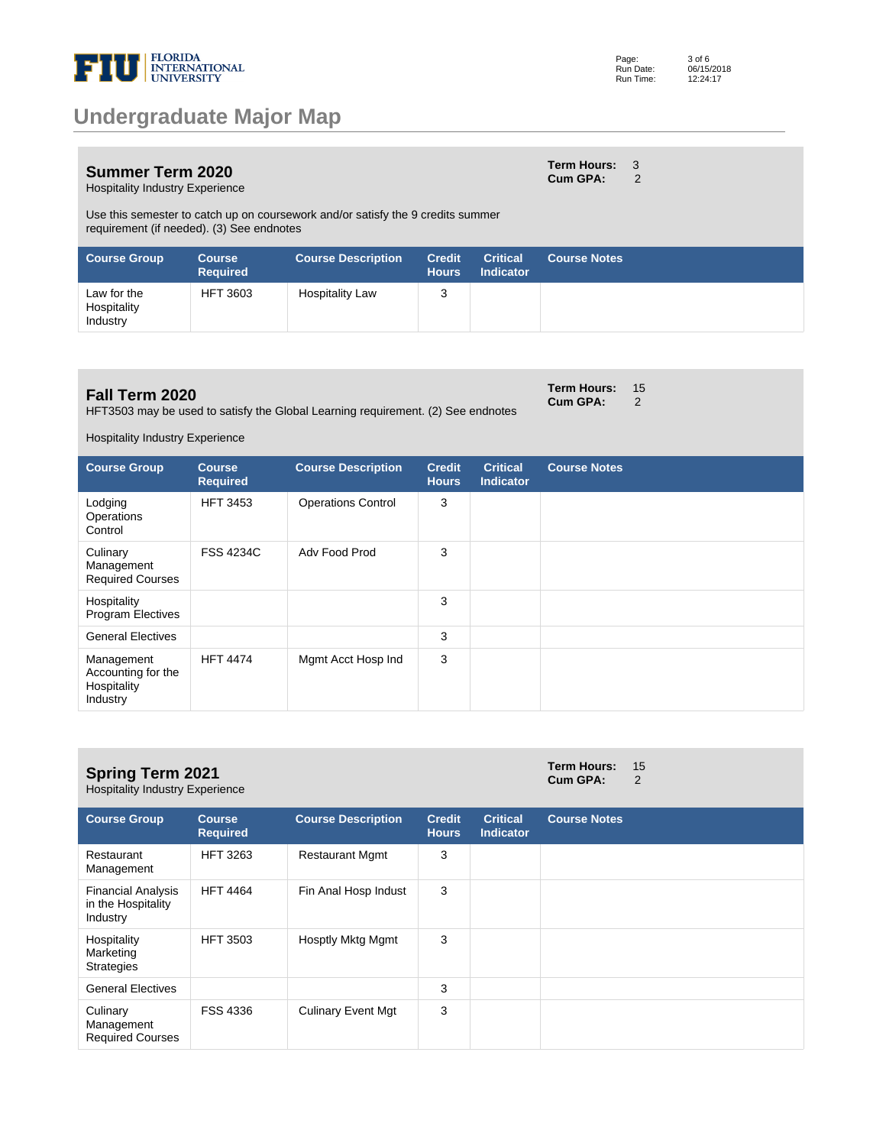

#### **Summer Term 2020** Hospitality Industry Experience

**Term Hours:** 3 **Cum GPA:** 2

**Term Hours: 15<br>Cum GPA: 2 Cum GPA:** 

Use this semester to catch up on coursework and/or satisfy the 9 credits summer requirement (if needed). (3) See endnotes

| <b>Course Group</b>                    | <b>Course</b><br><b>Required</b> | <b>Course Description</b> | <b>Credit</b><br><b>Hours</b> | <b>Critical</b><br><b>Indicator</b> | <b>Course Notes</b> |
|----------------------------------------|----------------------------------|---------------------------|-------------------------------|-------------------------------------|---------------------|
| Law for the<br>Hospitality<br>Industry | <b>HFT 3603</b>                  | <b>Hospitality Law</b>    | 3                             |                                     |                     |

### **Fall Term 2020**

HFT3503 may be used to satisfy the Global Learning requirement. (2) See endnotes

Hospitality Industry Experience

| <b>Course Group</b>                                         | <b>Course</b><br><b>Required</b> | <b>Course Description</b> | <b>Credit</b><br><b>Hours</b> | <b>Critical</b><br><b>Indicator</b> | <b>Course Notes</b> |
|-------------------------------------------------------------|----------------------------------|---------------------------|-------------------------------|-------------------------------------|---------------------|
| Lodging<br>Operations<br>Control                            | <b>HFT 3453</b>                  | <b>Operations Control</b> | 3                             |                                     |                     |
| Culinary<br>Management<br><b>Required Courses</b>           | <b>FSS 4234C</b>                 | Adv Food Prod             | 3                             |                                     |                     |
| Hospitality<br><b>Program Electives</b>                     |                                  |                           | 3                             |                                     |                     |
| <b>General Electives</b>                                    |                                  |                           | 3                             |                                     |                     |
| Management<br>Accounting for the<br>Hospitality<br>Industry | <b>HFT 4474</b>                  | Mgmt Acct Hosp Ind        | 3                             |                                     |                     |

| <b>Spring Term 2021</b><br><b>Hospitality Industry Experience</b> | Term Hours: 15<br>Cum GPA: |  |
|-------------------------------------------------------------------|----------------------------|--|
|                                                                   |                            |  |

| <b>Course Group</b>                                         | Course<br><b>Required</b> | <b>Course Description</b> | <b>Credit</b><br><b>Hours</b> | <b>Critical</b><br>Indicator | <b>Course Notes</b> |
|-------------------------------------------------------------|---------------------------|---------------------------|-------------------------------|------------------------------|---------------------|
| Restaurant<br>Management                                    | <b>HFT 3263</b>           | <b>Restaurant Mgmt</b>    | 3                             |                              |                     |
| <b>Financial Analysis</b><br>in the Hospitality<br>Industry | <b>HFT 4464</b>           | Fin Anal Hosp Indust      | 3                             |                              |                     |
| Hospitality<br>Marketing<br><b>Strategies</b>               | <b>HFT 3503</b>           | Hosptly Mktg Mgmt         | 3                             |                              |                     |
| <b>General Electives</b>                                    |                           |                           | 3                             |                              |                     |
| Culinary<br>Management<br><b>Required Courses</b>           | <b>FSS 4336</b>           | <b>Culinary Event Mgt</b> | 3                             |                              |                     |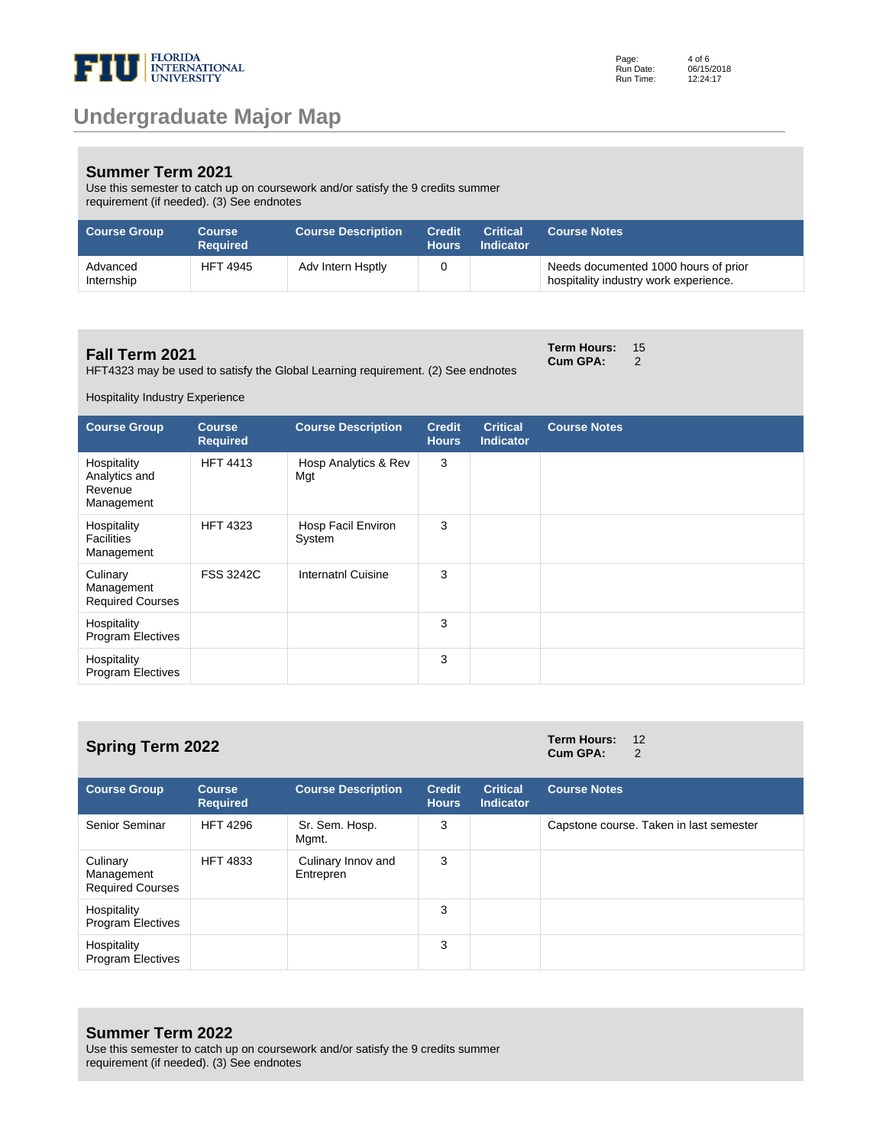

#### **Summer Term 2021**

Use this semester to catch up on coursework and/or satisfy the 9 credits summer requirement (if needed). (3) See endnotes

| <b>Course Group</b>    | <b>Course</b><br><b>Required</b> | <b>Course Description</b> | Credit<br><b>Hours</b> | <b>Critical</b><br><b>Indicator</b> | <b>Course Notes</b>                                                           |
|------------------------|----------------------------------|---------------------------|------------------------|-------------------------------------|-------------------------------------------------------------------------------|
| Advanced<br>Internship | <b>HFT 4945</b>                  | Adv Intern Hsptly         |                        |                                     | Needs documented 1000 hours of prior<br>hospitality industry work experience. |

### **Fall Term 2021**

HFT4323 may be used to satisfy the Global Learning requirement. (2) See endnotes

**Term Hours:** 15 **Cum GPA:** 2

Hospitality Industry Experience

| <b>Course Group</b>                                   | <b>Course</b><br><b>Required</b> | <b>Course Description</b>    | <b>Credit</b><br><b>Hours</b> | <b>Critical</b><br><b>Indicator</b> | <b>Course Notes</b> |
|-------------------------------------------------------|----------------------------------|------------------------------|-------------------------------|-------------------------------------|---------------------|
| Hospitality<br>Analytics and<br>Revenue<br>Management | <b>HFT 4413</b>                  | Hosp Analytics & Rev<br>Mgt  | 3                             |                                     |                     |
| Hospitality<br><b>Facilities</b><br>Management        | <b>HFT 4323</b>                  | Hosp Facil Environ<br>System | 3                             |                                     |                     |
| Culinary<br>Management<br><b>Required Courses</b>     | <b>FSS 3242C</b>                 | <b>Internatnl Cuisine</b>    | 3                             |                                     |                     |
| Hospitality<br><b>Program Electives</b>               |                                  |                              | 3                             |                                     |                     |
| Hospitality<br><b>Program Electives</b>               |                                  |                              | 3                             |                                     |                     |

| <b>Spring Term 2022</b>                           |                                  |                                 |                               |                                     | <b>Term Hours:</b><br>Cum GPA: | 12<br>2                                 |
|---------------------------------------------------|----------------------------------|---------------------------------|-------------------------------|-------------------------------------|--------------------------------|-----------------------------------------|
| <b>Course Group</b>                               | <b>Course</b><br><b>Required</b> | <b>Course Description</b>       | <b>Credit</b><br><b>Hours</b> | <b>Critical</b><br><b>Indicator</b> | <b>Course Notes</b>            |                                         |
| Senior Seminar                                    | <b>HFT 4296</b>                  | Sr. Sem. Hosp.<br>Mgmt.         | 3                             |                                     |                                | Capstone course. Taken in last semester |
| Culinary<br>Management<br><b>Required Courses</b> | <b>HFT 4833</b>                  | Culinary Innov and<br>Entrepren | 3                             |                                     |                                |                                         |
| Hospitality<br><b>Program Electives</b>           |                                  |                                 | 3                             |                                     |                                |                                         |
| Hospitality                                       |                                  |                                 | 3                             |                                     |                                |                                         |

**Summer Term 2022**

Program Electives

Use this semester to catch up on coursework and/or satisfy the 9 credits summer requirement (if needed). (3) See endnotes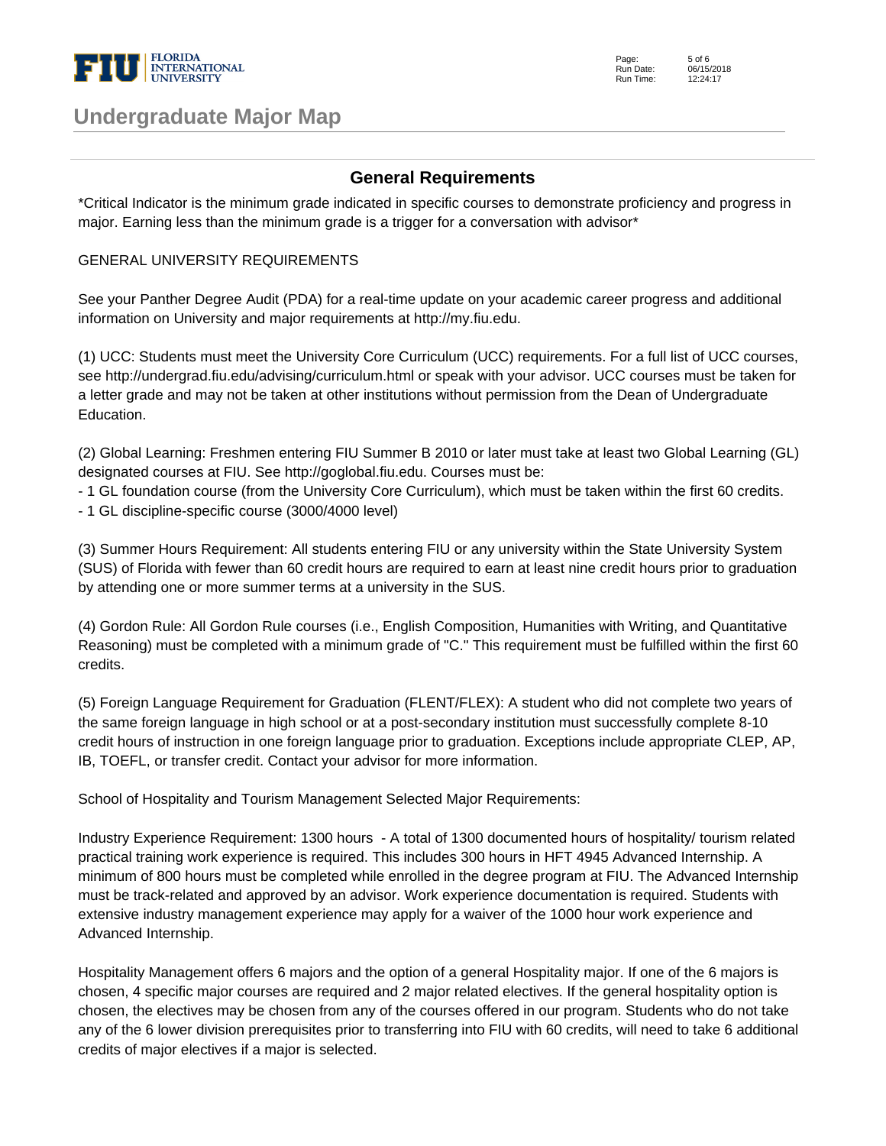

| Page:     | $5$ of $6$ |
|-----------|------------|
| Run Date: | 06/15/2018 |
| Run Time: | 12:24:17   |

Page:

### **Undergraduate Major Map**

### **General Requirements**

\*Critical Indicator is the minimum grade indicated in specific courses to demonstrate proficiency and progress in major. Earning less than the minimum grade is a trigger for a conversation with advisor\*

#### GENERAL UNIVERSITY REQUIREMENTS

See your Panther Degree Audit (PDA) for a real-time update on your academic career progress and additional information on University and major requirements at http://my.fiu.edu.

(1) UCC: Students must meet the University Core Curriculum (UCC) requirements. For a full list of UCC courses, see http://undergrad.fiu.edu/advising/curriculum.html or speak with your advisor. UCC courses must be taken for a letter grade and may not be taken at other institutions without permission from the Dean of Undergraduate Education.

(2) Global Learning: Freshmen entering FIU Summer B 2010 or later must take at least two Global Learning (GL) designated courses at FIU. See http://goglobal.fiu.edu. Courses must be:

- 1 GL foundation course (from the University Core Curriculum), which must be taken within the first 60 credits.

- 1 GL discipline-specific course (3000/4000 level)

(3) Summer Hours Requirement: All students entering FIU or any university within the State University System (SUS) of Florida with fewer than 60 credit hours are required to earn at least nine credit hours prior to graduation by attending one or more summer terms at a university in the SUS.

(4) Gordon Rule: All Gordon Rule courses (i.e., English Composition, Humanities with Writing, and Quantitative Reasoning) must be completed with a minimum grade of "C." This requirement must be fulfilled within the first 60 credits.

(5) Foreign Language Requirement for Graduation (FLENT/FLEX): A student who did not complete two years of the same foreign language in high school or at a post-secondary institution must successfully complete 8-10 credit hours of instruction in one foreign language prior to graduation. Exceptions include appropriate CLEP, AP, IB, TOEFL, or transfer credit. Contact your advisor for more information.

School of Hospitality and Tourism Management Selected Major Requirements:

Industry Experience Requirement: 1300 hours - A total of 1300 documented hours of hospitality/ tourism related practical training work experience is required. This includes 300 hours in HFT 4945 Advanced Internship. A minimum of 800 hours must be completed while enrolled in the degree program at FIU. The Advanced Internship must be track-related and approved by an advisor. Work experience documentation is required. Students with extensive industry management experience may apply for a waiver of the 1000 hour work experience and Advanced Internship.

Hospitality Management offers 6 majors and the option of a general Hospitality major. If one of the 6 majors is chosen, 4 specific major courses are required and 2 major related electives. If the general hospitality option is chosen, the electives may be chosen from any of the courses offered in our program. Students who do not take any of the 6 lower division prerequisites prior to transferring into FIU with 60 credits, will need to take 6 additional credits of major electives if a major is selected.